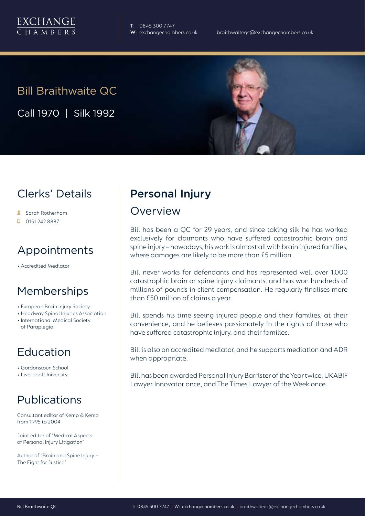

**T**: 0845 300 7747

# Bill Braithwaite QC Call 1970 | Silk 1992



### Clerks' Details

- Sarah Rotherham
- $\Box$  0151 242 8887

### Appointments

• Accredited Mediator

### Memberships

- European Brain Injury Society
- Headway Spinal Injuries Association
- International Medical Society of Paraplegia

# Education

- Gordonstoun School
- Liverpool University

## Publications

Consultant editor of Kemp & Kemp from 1995 to 2004

Joint editor of "Medical Aspects of Personal Injury Litigation"

Author of "Brain and Spine Injury – The Fight for Justice"

# Personal Injury

#### Overview

Bill has been a QC for 29 years, and since taking silk he has worked exclusively for claimants who have suffered catastrophic brain and spine injury – nowadays, his work is almost all with brain injured families, where damages are likely to be more than £5 million.

Bill never works for defendants and has represented well over 1,000 catastrophic brain or spine injury claimants, and has won hundreds of millions of pounds in client compensation. He regularly finalises more than £50 million of claims a year.

Bill spends his time seeing injured people and their families, at their convenience, and he believes passionately in the rights of those who have suffered catastrophic injury, and their families.

Bill is also an accredited mediator, and he supports mediation and ADR when appropriate.

Bill has been awarded Personal Injury Barrister of the Year twice, UKABIF Lawyer Innovator once, and The Times Lawyer of the Week once.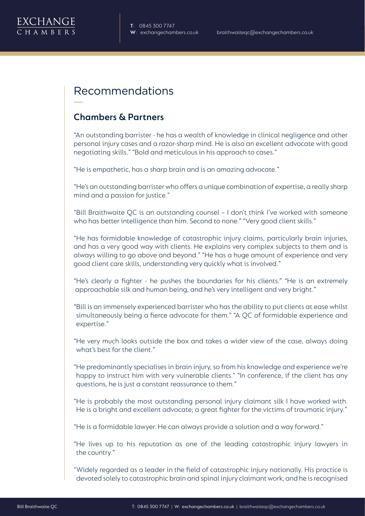

#### Recommendations

#### **Chambers & Partners**

"An outstanding barrister - he has a wealth of knowledge in clinical negligence and other personal injury cases and a razor-sharp mind. He is also an excellent advocate with good negotiating skills." "Bold and meticulous in his approach to cases."

"He is empathetic, has a sharp brain and is an amazing advocate."

"He's an outstanding barrister who offers a unique combination of expertise, a really sharp mind and a passion for justice."

"Bill Braithwaite QC is an outstanding counsel – I don't think I've worked with someone who has better intelligence than him. Second to none." "Very good client skills."

"He has formidable knowledge of catastrophic injury claims, particularly brain injuries, and has a very good way with clients. He explains very complex subjects to them and is always willing to go above and beyond." "He has a huge amount of experience and very good client care skills, understanding very quickly what is involved."

"He's clearly a fighter - he pushes the boundaries for his clients." "He is an extremely approachable silk and human being, and he's very intelligent and very bright."

"Bill is an immensely experienced barrister who has the ability to put clients at ease whilst simultaneously being a fierce advocate for them." "A QC of formidable experience and expertise."

"He very much looks outside the box and takes a wider view of the case, always doing what's best for the client."

"He predominantly specialises in brain injury, so from his knowledge and experience we're happy to instruct him with very vulnerable clients." "In conference, if the client has any questions, he is just a constant reassurance to them."

"He is probably the most outstanding personal injury claimant silk I have worked with. He is a bright and excellent advocate; a great fighter for the victims of traumatic injury."

"He is a formidable lawyer. He can always provide a solution and a way forward."

"He lives up to his reputation as one of the leading catastrophic injury lawyers in the country."

"Widely regarded as a leader in the field of catastrophic injury nationally. His practice is devoted solely to catastrophic brain and spinal injury claimant work, and he is recognised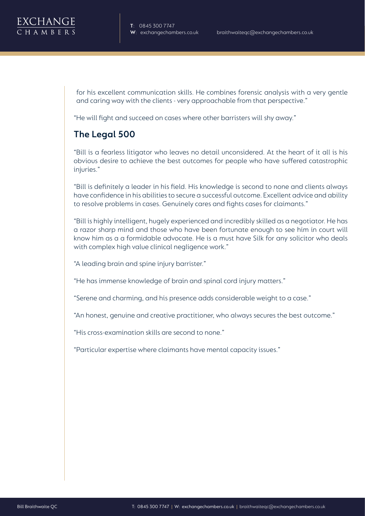for his excellent communication skills. He combines forensic analysis with a very gentle and caring way with the clients - very approachable from that perspective."

"He will fight and succeed on cases where other barristers will shy away."

#### **The Legal 500**

"Bill is a fearless litigator who leaves no detail unconsidered. At the heart of it all is his obvious desire to achieve the best outcomes for people who have suffered catastrophic injuries."

"Bill is definitely a leader in his field. His knowledge is second to none and clients always have confidence in his abilities to secure a successful outcome. Excellent advice and ability to resolve problems in cases. Genuinely cares and fights cases for claimants."

"Bill is highly intelligent, hugely experienced and incredibly skilled as a negotiator. He has a razor sharp mind and those who have been fortunate enough to see him in court will know him as a a formidable advocate. He is a must have Silk for any solicitor who deals with complex high value clinical negligence work."

"A leading brain and spine injury barrister."

"He has immense knowledge of brain and spinal cord injury matters."

"Serene and charming, and his presence adds considerable weight to a case."

"An honest, genuine and creative practitioner, who always secures the best outcome."

"His cross-examination skills are second to none."

"Particular expertise where claimants have mental capacity issues."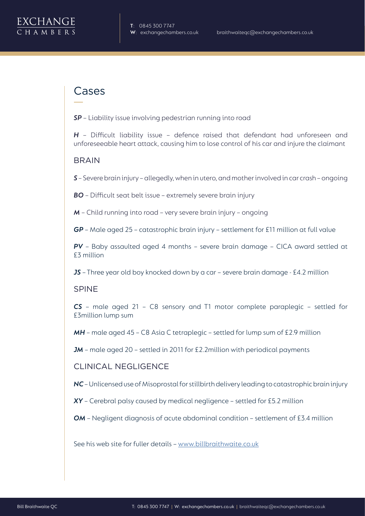#### Cases

*SP* – Liability issue involving pedestrian running into road

*H* – Difficult liability issue – defence raised that defendant had unforeseen and unforeseeable heart attack, causing him to lose control of his car and injure the claimant

#### **BRAIN**

*S* – Severe brain injury – allegedly, when in utero, and mother involved in car crash – ongoing

*BO* – Difficult seat belt issue – extremely severe brain injury

*M* – Child running into road – very severe brain injury – ongoing

*GP* – Male aged 25 – catastrophic brain injury – settlement for £11 million at full value

*PV* – Baby assaulted aged 4 months – severe brain damage – CICA award settled at £3 million

*JS* – Three year old boy knocked down by a car – severe brain damage - £4.2 million

#### SPINE

*CS* – male aged 21 – C8 sensory and T1 motor complete paraplegic – settled for £3million lump sum

*MH* – male aged 45 – C8 Asia C tetraplegic – settled for lump sum of £2.9 million

*JM* – male aged 20 – settled in 2011 for £2.2million with periodical payments

#### CLINICAL NEGLIGENCE

*NC* – Unlicensed use of Misoprostal for stillbirth delivery leading to catastrophic brain injury

*XY* – Cerebral palsy caused by medical negligence – settled for £5.2 million

*OM* – Negligent diagnosis of acute abdominal condition – settlement of £3.4 million

See his web site for fuller details – [www.billbraithwaite.co.uk](http://www.billbraithwaite.co.uk)